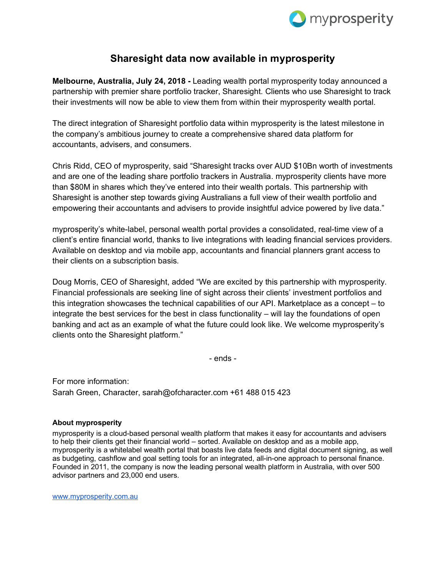

## **Sharesight data now available in myprosperity**

**Melbourne, Australia, July 24, 2018 -** Leading wealth portal myprosperity today announced a partnership with premier share portfolio tracker, Sharesight. Clients who use Sharesight to track their investments will now be able to view them from within their myprosperity wealth portal.

The direct integration of Sharesight portfolio data within myprosperity is the latest milestone in the company's ambitious journey to create a comprehensive shared data platform for accountants, advisers, and consumers.

Chris Ridd, CEO of myprosperity, said "Sharesight tracks over AUD \$10Bn worth of investments and are one of the leading share portfolio trackers in Australia. myprosperity clients have more than \$80M in shares which they've entered into their wealth portals. This partnership with Sharesight is another step towards giving Australians a full view of their wealth portfolio and empowering their accountants and advisers to provide insightful advice powered by live data."

myprosperity's white-label, personal wealth portal provides a consolidated, real-time view of a client's entire financial world, thanks to live integrations with leading financial services providers. Available on desktop and via mobile app, accountants and financial planners grant access to their clients on a subscription basis.

Doug Morris, CEO of Sharesight, added "We are excited by this partnership with myprosperity. Financial professionals are seeking line of sight across their clients' investment portfolios and this integration showcases the technical capabilities of our API. Marketplace as a concept – to integrate the best services for the best in class functionality – will lay the foundations of open banking and act as an example of what the future could look like. We welcome myprosperity's clients onto the Sharesight platform."

- ends -

For more information: Sarah Green, Character, sarah@ofcharacter.com +61 488 015 423

## **About myprosperity**

myprosperity is a cloud-based personal wealth platform that makes it easy for accountants and advisers to help their clients get their financial world – sorted. Available on desktop and as a mobile app, myprosperity is a whitelabel wealth portal that boasts live data feeds and digital document signing, as well as budgeting, cashflow and goal setting tools for an integrated, all-in-one approach to personal finance. Founded in 2011, the company is now the leading personal wealth platform in Australia, with over 500 advisor partners and 23,000 end users.

www.myprosperity.com.au